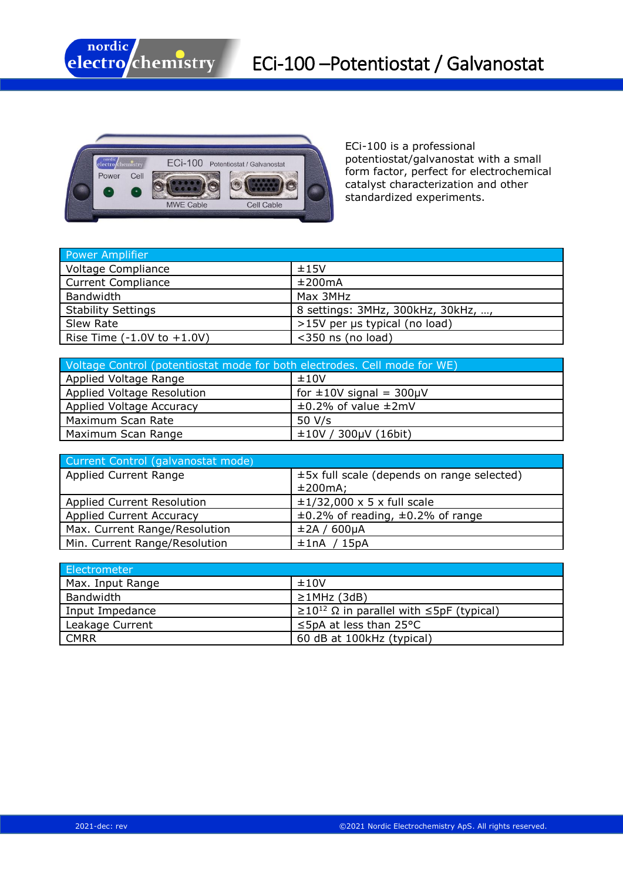



ECi-100 is a professional potentiostat/galvanostat with a small form factor, perfect for electrochemical catalyst characterization and other standardized experiments.

| Power Amplifier                       |                                    |
|---------------------------------------|------------------------------------|
| <b>Voltage Compliance</b>             | ±15V                               |
| <b>Current Compliance</b>             | ±200mA                             |
| Bandwidth                             | Max 3MHz                           |
| <b>Stability Settings</b>             | 8 settings: 3MHz, 300kHz, 30kHz, , |
| Slew Rate                             | >15V per µs typical (no load)      |
| Rise Time $(-1.0V \text{ to } +1.0V)$ | $<$ 350 ns (no load)               |

| Voltage Control (potentiostat mode for both electrodes. Cell mode for WE) |                                 |  |
|---------------------------------------------------------------------------|---------------------------------|--|
| Applied Voltage Range                                                     | ±10V                            |  |
| Applied Voltage Resolution                                                | for $\pm 10V$ signal = 300µV    |  |
| Applied Voltage Accuracy                                                  | $\pm 0.2\%$ of value $\pm 2$ mV |  |
| Maximum Scan Rate                                                         | 50 $V/s$                        |  |
| Maximum Scan Range                                                        | ±10V / 300µV (16bit)            |  |

| Current Control (galvanostat mode) |                                                            |
|------------------------------------|------------------------------------------------------------|
| Applied Current Range              | $\pm$ 5x full scale (depends on range selected)<br>±200mA; |
| <b>Applied Current Resolution</b>  | $\pm$ 1/32,000 x 5 x full scale                            |
| <b>Applied Current Accuracy</b>    | $\pm 0.2\%$ of reading, $\pm 0.2\%$ of range               |
|                                    |                                                            |
| Max. Current Range/Resolution      | ±2A/600µA                                                  |
| Min. Current Range/Resolution      | ±1nA / 15pA                                                |

| <b>Electrometer</b> |                                                                 |
|---------------------|-----------------------------------------------------------------|
| Max. Input Range    | ±10V                                                            |
| Bandwidth           | $\geq$ 1MHz (3dB)                                               |
| Input Impedance     | $\geq$ 10 <sup>12</sup> Ω in parallel with $\leq$ 5pF (typical) |
| Leakage Current     | $\leq$ 5pA at less than 25°C                                    |
| <b>CMRR</b>         | 60 dB at 100kHz (typical)                                       |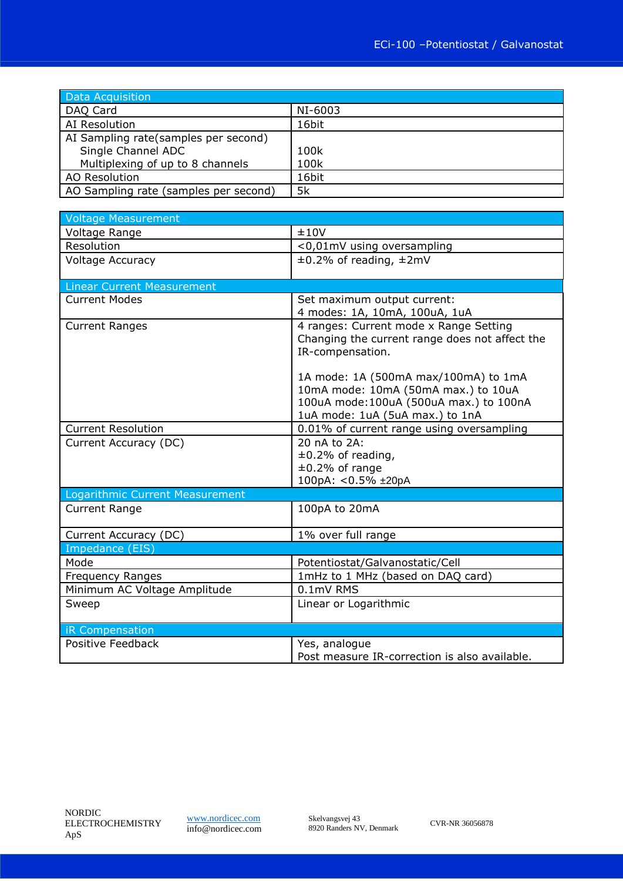| Data Acquisition                      |         |
|---------------------------------------|---------|
| DAQ Card                              | NI-6003 |
| AI Resolution                         | 16bit   |
| AI Sampling rate(samples per second)  |         |
| Single Channel ADC                    | 100k    |
| Multiplexing of up to 8 channels      | 100k    |
| AO Resolution                         | 16bit   |
| AO Sampling rate (samples per second) | 5k      |

| <b>Voltage Measurement</b>        |                                                                             |
|-----------------------------------|-----------------------------------------------------------------------------|
| Voltage Range                     | ±10V                                                                        |
| Resolution                        | <0,01mV using oversampling                                                  |
| <b>Voltage Accuracy</b>           | $\pm 0.2\%$ of reading, $\pm 2$ mV                                          |
|                                   |                                                                             |
| <b>Linear Current Measurement</b> |                                                                             |
| <b>Current Modes</b>              | Set maximum output current:                                                 |
|                                   | 4 modes: 1A, 10mA, 100uA, 1uA                                               |
| <b>Current Ranges</b>             | 4 ranges: Current mode x Range Setting                                      |
|                                   | Changing the current range does not affect the                              |
|                                   | IR-compensation.                                                            |
|                                   |                                                                             |
|                                   | 1A mode: 1A (500mA max/100mA) to 1mA<br>10mA mode: 10mA (50mA max.) to 10uA |
|                                   | 100uA mode: 100uA (500uA max.) to 100nA                                     |
|                                   | 1uA mode: 1uA (5uA max.) to 1nA                                             |
| <b>Current Resolution</b>         | 0.01% of current range using oversampling                                   |
| Current Accuracy (DC)             | 20 nA to 2A:                                                                |
|                                   | $\pm 0.2\%$ of reading,                                                     |
|                                   | $±0.2%$ of range                                                            |
|                                   | 100pA: < 0.5% ±20pA                                                         |
| Logarithmic Current Measurement   |                                                                             |
| <b>Current Range</b>              | 100pA to 20mA                                                               |
|                                   |                                                                             |
| Current Accuracy (DC)             | 1% over full range                                                          |
| Impedance (EIS)                   |                                                                             |
| Mode                              | Potentiostat/Galvanostatic/Cell                                             |
| <b>Frequency Ranges</b>           | 1mHz to 1 MHz (based on DAQ card)                                           |
| Minimum AC Voltage Amplitude      | 0.1mV RMS                                                                   |
| Sweep                             | Linear or Logarithmic                                                       |
|                                   |                                                                             |
| iR Compensation                   |                                                                             |
| Positive Feedback                 | Yes, analogue                                                               |
|                                   | Post measure IR-correction is also available.                               |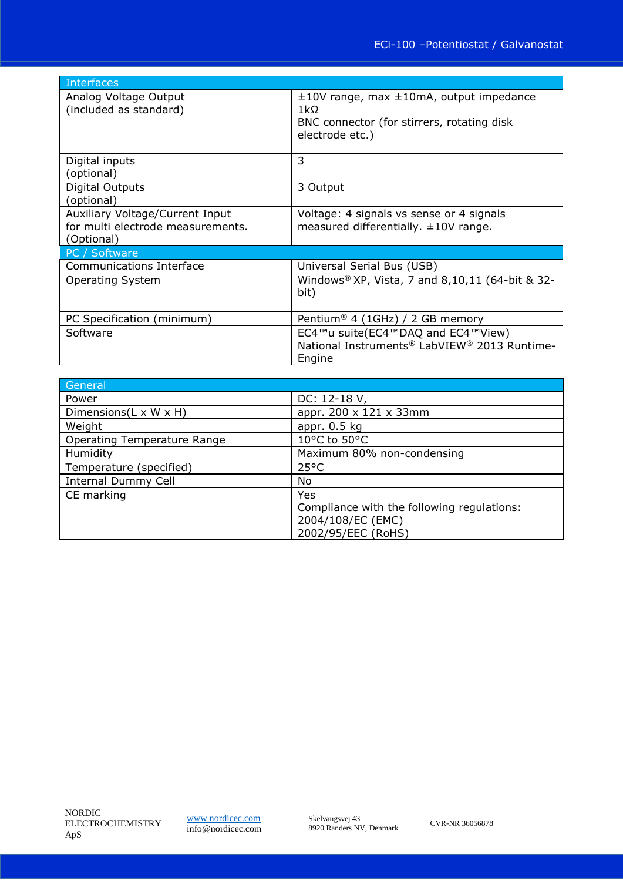| Interfaces                                                                         |                                                                                                                                   |  |
|------------------------------------------------------------------------------------|-----------------------------------------------------------------------------------------------------------------------------------|--|
| Analog Voltage Output<br>(included as standard)                                    | $\pm 10V$ range, max $\pm 10$ mA, output impedance<br>$1k\Omega$<br>BNC connector (for stirrers, rotating disk<br>electrode etc.) |  |
| Digital inputs<br>(optional)                                                       | 3                                                                                                                                 |  |
| Digital Outputs<br>(optional)                                                      | 3 Output                                                                                                                          |  |
| Auxiliary Voltage/Current Input<br>for multi electrode measurements.<br>(Optional) | Voltage: 4 signals vs sense or 4 signals<br>measured differentially. $\pm 10V$ range.                                             |  |
| PC / Software                                                                      |                                                                                                                                   |  |
| Communications Interface                                                           | Universal Serial Bus (USB)                                                                                                        |  |
| <b>Operating System</b>                                                            | Windows <sup>®</sup> XP, Vista, 7 and 8,10,11 (64-bit & 32-<br>bit)                                                               |  |
| PC Specification (minimum)                                                         | Pentium <sup>®</sup> 4 (1GHz) / 2 GB memory                                                                                       |  |
| Software                                                                           | EC4™u suite(EC4™DAQ and EC4™View)<br>National Instruments® LabVIEW® 2013 Runtime-<br>Engine                                       |  |

| General                             |                                                                                              |
|-------------------------------------|----------------------------------------------------------------------------------------------|
| Power                               | DC: 12-18 V,                                                                                 |
| Dimensions( $L \times W \times H$ ) | appr. 200 x 121 x 33mm                                                                       |
| Weight                              | appr. $0.5$ kg                                                                               |
| <b>Operating Temperature Range</b>  | 10°C to 50°C                                                                                 |
| Humidity                            | Maximum 80% non-condensing                                                                   |
| Temperature (specified)             | $25^{\circ}$ C                                                                               |
| <b>Internal Dummy Cell</b>          | No                                                                                           |
| CE marking                          | Yes<br>Compliance with the following regulations:<br>2004/108/EC (EMC)<br>2002/95/EEC (RoHS) |